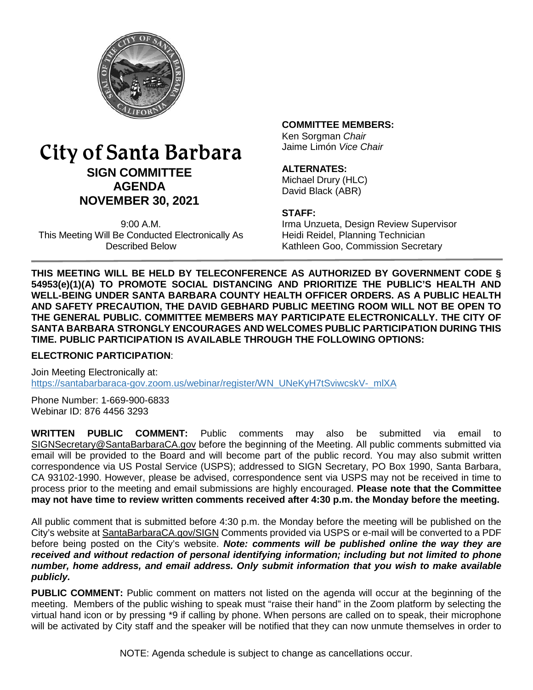

# City of Santa Barbara **SIGN COMMITTEE AGENDA NOVEMBER 30, 2021**

9:00 A.M. This Meeting Will Be Conducted Electronically As Described Below

#### **COMMITTEE MEMBERS:**

Ken Sorgman *Chair* Jaime Limón *Vice Chair*

#### **ALTERNATES:**

Michael Drury (HLC) David Black (ABR)

#### **STAFF:**

Irma Unzueta, Design Review Supervisor Heidi Reidel, Planning Technician Kathleen Goo, Commission Secretary

**THIS MEETING WILL BE HELD BY TELECONFERENCE AS AUTHORIZED BY GOVERNMENT CODE § 54953(e)(1)(A) TO PROMOTE SOCIAL DISTANCING AND PRIORITIZE THE PUBLIC'S HEALTH AND WELL-BEING UNDER SANTA BARBARA COUNTY HEALTH OFFICER ORDERS. AS A PUBLIC HEALTH AND SAFETY PRECAUTION, THE DAVID GEBHARD PUBLIC MEETING ROOM WILL NOT BE OPEN TO THE GENERAL PUBLIC. COMMITTEE MEMBERS MAY PARTICIPATE ELECTRONICALLY. THE CITY OF SANTA BARBARA STRONGLY ENCOURAGES AND WELCOMES PUBLIC PARTICIPATION DURING THIS TIME. PUBLIC PARTICIPATION IS AVAILABLE THROUGH THE FOLLOWING OPTIONS:**

#### **ELECTRONIC PARTICIPATION**:

Join Meeting Electronically at: [https://santabarbaraca-gov.zoom.us/webinar/register/WN\\_UNeKyH7tSviwcskV-\\_mlXA](https://santabarbaraca-gov.zoom.us/webinar/register/WN_UNeKyH7tSviwcskV-_mlXA)

Phone Number: 1-669-900-6833 Webinar ID: 876 4456 3293

**WRITTEN PUBLIC COMMENT:** Public comments may also be submitted via email to [SIGNSecretary@SantaBarbaraCA.gov](mailto:SIGNSecretary@SantaBarbaraCA.gov) before the beginning of the Meeting. All public comments submitted via email will be provided to the Board and will become part of the public record. You may also submit written correspondence via US Postal Service (USPS); addressed to SIGN Secretary, PO Box 1990, Santa Barbara, CA 93102-1990. However, please be advised, correspondence sent via USPS may not be received in time to process prior to the meeting and email submissions are highly encouraged. **Please note that the Committee may not have time to review written comments received after 4:30 p.m. the Monday before the meeting.**

All public comment that is submitted before 4:30 p.m. the Monday before the meeting will be published on the City's website at [SantaBarbaraCA.gov/SIGN](http://www.santabarbaraca.gov/SIGN) Comments provided via USPS or e-mail will be converted to a PDF before being posted on the City's website. *Note: comments will be published online the way they are received and without redaction of personal identifying information; including but not limited to phone number, home address, and email address. Only submit information that you wish to make available publicly.*

**PUBLIC COMMENT:** Public comment on matters not listed on the agenda will occur at the beginning of the meeting. Members of the public wishing to speak must "raise their hand" in the Zoom platform by selecting the virtual hand icon or by pressing \*9 if calling by phone. When persons are called on to speak, their microphone will be activated by City staff and the speaker will be notified that they can now unmute themselves in order to

NOTE: Agenda schedule is subject to change as cancellations occur.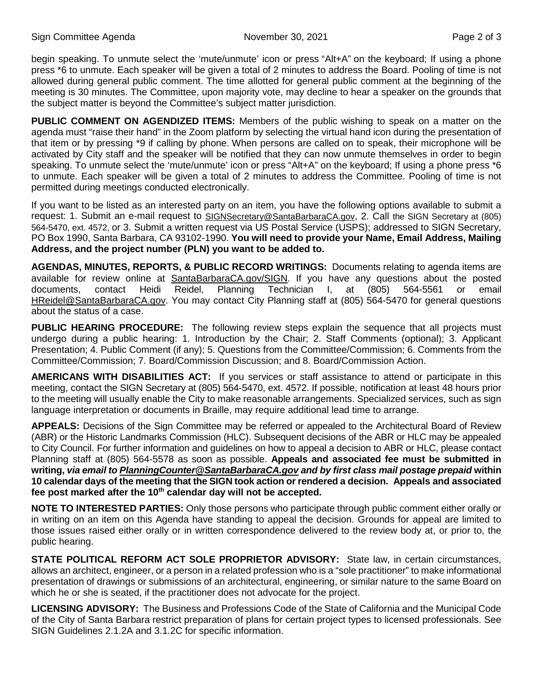begin speaking. To unmute select the 'mute/unmute' icon or press "Alt+A" on the keyboard; If using a phone press \*6 to unmute. Each speaker will be given a total of 2 minutes to address the Board. Pooling of time is not allowed during general public comment. The time allotted for general public comment at the beginning of the meeting is 30 minutes. The Committee, upon majority vote, may decline to hear a speaker on the grounds that the subject matter is beyond the Committee's subject matter jurisdiction.

**PUBLIC COMMENT ON AGENDIZED ITEMS:** Members of the public wishing to speak on a matter on the agenda must "raise their hand" in the Zoom platform by selecting the virtual hand icon during the presentation of that item or by pressing \*9 if calling by phone. When persons are called on to speak, their microphone will be activated by City staff and the speaker will be notified that they can now unmute themselves in order to begin speaking. To unmute select the 'mute/unmute' icon or press "Alt+A" on the keyboard; If using a phone press \*6 to unmute. Each speaker will be given a total of 2 minutes to address the Committee. Pooling of time is not permitted during meetings conducted electronically.

If you want to be listed as an interested party on an item, you have the following options available to submit a request: 1. Submit an e-mail request to [SIGNSecretary@SantaBarbaraCA.gov,](mailto:SIGNSecretary@SantaBarbaraCA.gov) 2. Call the SIGN Secretary at (805) 564-5470, ext. 4572, or 3. Submit a written request via US Postal Service (USPS); addressed to SIGN Secretary, PO Box 1990, Santa Barbara, CA 93102-1990. **You will need to provide your Name, Email Address, Mailing Address, and the project number (PLN) you want to be added to.**

**AGENDAS, MINUTES, REPORTS, & PUBLIC RECORD WRITINGS:** Documents relating to agenda items are available for review online at **SantaBarbaraCA.gov/SIGN**. If you have any questions about the posted<br>documents. contact Heidi Reidel. Planning Technician I. at (805) 564-5561 or email documents, contact Heidi Reidel, Planning Technician I, at (805) 564-5561 or email [HReidel@SantaBarbaraCA.gov.](mailto:HReidel@SantaBarbaraCA.gov) You may contact City Planning staff at (805) 564-5470 for general questions about the status of a case.

**PUBLIC HEARING PROCEDURE:** The following review steps explain the sequence that all projects must undergo during a public hearing: 1. Introduction by the Chair; 2. Staff Comments (optional); 3. Applicant Presentation; 4. Public Comment (if any); 5. Questions from the Committee/Commission; 6. Comments from the Committee/Commission; 7. Board/Commission Discussion; and 8. Board/Commission Action.

**AMERICANS WITH DISABILITIES ACT:** If you services or staff assistance to attend or participate in this meeting, contact the SIGN Secretary at (805) 564-5470, ext. 4572. If possible, notification at least 48 hours prior to the meeting will usually enable the City to make reasonable arrangements. Specialized services, such as sign language interpretation or documents in Braille, may require additional lead time to arrange.

**APPEALS:** Decisions of the Sign Committee may be referred or appealed to the Architectural Board of Review (ABR) or the Historic Landmarks Commission (HLC). Subsequent decisions of the ABR or HLC may be appealed to City Council. For further information and guidelines on how to appeal a decision to ABR or HLC, please contact Planning staff at (805) 564-5578 as soon as possible. **Appeals and associated fee must be submitted in writing,** *via email to [PlanningCounter@SantaBarbaraCA.gov](mailto:PlanningCounter@SantaBarbaraCA.gov) and by first class mail postage prepaid* **within 10 calendar days of the meeting that the SIGN took action or rendered a decision. Appeals and associated fee post marked after the 10th calendar day will not be accepted.** 

**NOTE TO INTERESTED PARTIES:** Only those persons who participate through public comment either orally or in writing on an item on this Agenda have standing to appeal the decision. Grounds for appeal are limited to those issues raised either orally or in written correspondence delivered to the review body at, or prior to, the public hearing.

**STATE POLITICAL REFORM ACT SOLE PROPRIETOR ADVISORY:** State law, in certain circumstances, allows an architect, engineer, or a person in a related profession who is a "sole practitioner" to make informational presentation of drawings or submissions of an architectural, engineering, or similar nature to the same Board on which he or she is seated, if the practitioner does not advocate for the project.

**LICENSING ADVISORY:** The Business and Professions Code of the State of California and the Municipal Code of the City of Santa Barbara restrict preparation of plans for certain project types to licensed professionals. See SIGN Guidelines 2.1.2A and 3.1.2C for specific information.